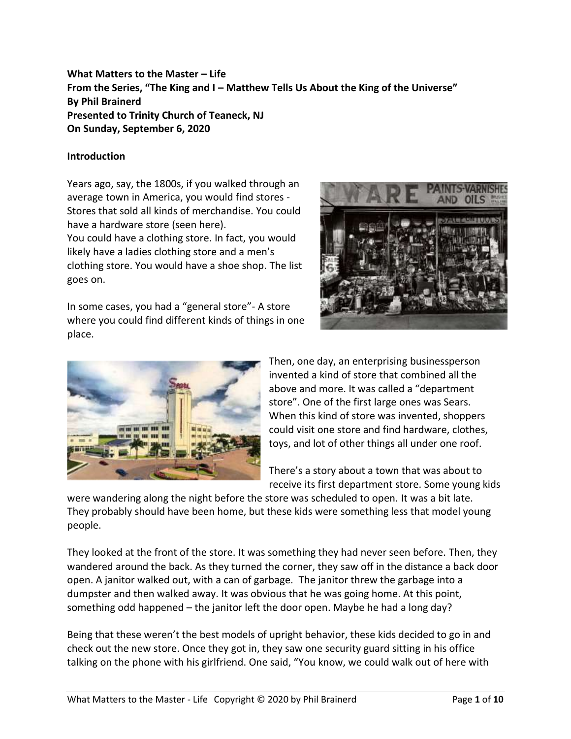## **What Matters to the Master – Life From the Series, "The King and I – Matthew Tells Us About the King of the Universe" By Phil Brainerd Presented to Trinity Church of Teaneck, NJ On Sunday, September 6, 2020**

## **Introduction**

Years ago, say, the 1800s, if you walked through an average town in America, you would find stores - Stores that sold all kinds of merchandise. You could have a hardware store (seen here).

You could have a clothing store. In fact, you would likely have a ladies clothing store and a men's clothing store. You would have a shoe shop. The list goes on.

In some cases, you had a "general store"- A store where you could find different kinds of things in one place.





Then, one day, an enterprising businessperson invented a kind of store that combined all the above and more. It was called a "department store". One of the first large ones was Sears. When this kind of store was invented, shoppers could visit one store and find hardware, clothes, toys, and lot of other things all under one roof.

There's a story about a town that was about to receive its first department store. Some young kids

were wandering along the night before the store was scheduled to open. It was a bit late. They probably should have been home, but these kids were something less that model young people.

They looked at the front of the store. It was something they had never seen before. Then, they wandered around the back. As they turned the corner, they saw off in the distance a back door open. A janitor walked out, with a can of garbage. The janitor threw the garbage into a dumpster and then walked away. It was obvious that he was going home. At this point, something odd happened – the janitor left the door open. Maybe he had a long day?

Being that these weren't the best models of upright behavior, these kids decided to go in and check out the new store. Once they got in, they saw one security guard sitting in his office talking on the phone with his girlfriend. One said, "You know, we could walk out of here with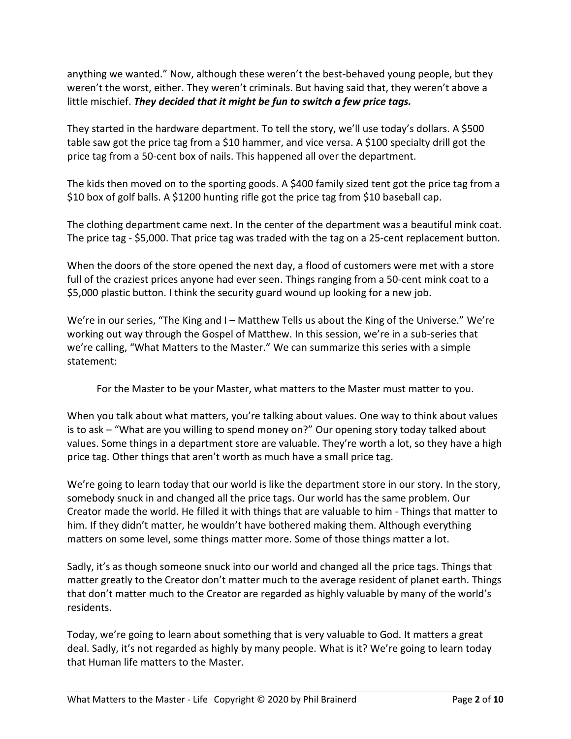anything we wanted." Now, although these weren't the best-behaved young people, but they weren't the worst, either. They weren't criminals. But having said that, they weren't above a little mischief. *They decided that it might be fun to switch a few price tags.*

They started in the hardware department. To tell the story, we'll use today's dollars. A \$500 table saw got the price tag from a \$10 hammer, and vice versa. A \$100 specialty drill got the price tag from a 50-cent box of nails. This happened all over the department.

The kids then moved on to the sporting goods. A \$400 family sized tent got the price tag from a \$10 box of golf balls. A \$1200 hunting rifle got the price tag from \$10 baseball cap.

The clothing department came next. In the center of the department was a beautiful mink coat. The price tag - \$5,000. That price tag was traded with the tag on a 25-cent replacement button.

When the doors of the store opened the next day, a flood of customers were met with a store full of the craziest prices anyone had ever seen. Things ranging from a 50-cent mink coat to a \$5,000 plastic button. I think the security guard wound up looking for a new job.

We're in our series, "The King and I – Matthew Tells us about the King of the Universe." We're working out way through the Gospel of Matthew. In this session, we're in a sub-series that we're calling, "What Matters to the Master." We can summarize this series with a simple statement:

For the Master to be your Master, what matters to the Master must matter to you.

When you talk about what matters, you're talking about values. One way to think about values is to ask – "What are you willing to spend money on?" Our opening story today talked about values. Some things in a department store are valuable. They're worth a lot, so they have a high price tag. Other things that aren't worth as much have a small price tag.

We're going to learn today that our world is like the department store in our story. In the story, somebody snuck in and changed all the price tags. Our world has the same problem. Our Creator made the world. He filled it with things that are valuable to him - Things that matter to him. If they didn't matter, he wouldn't have bothered making them. Although everything matters on some level, some things matter more. Some of those things matter a lot.

Sadly, it's as though someone snuck into our world and changed all the price tags. Things that matter greatly to the Creator don't matter much to the average resident of planet earth. Things that don't matter much to the Creator are regarded as highly valuable by many of the world's residents.

Today, we're going to learn about something that is very valuable to God. It matters a great deal. Sadly, it's not regarded as highly by many people. What is it? We're going to learn today that Human life matters to the Master.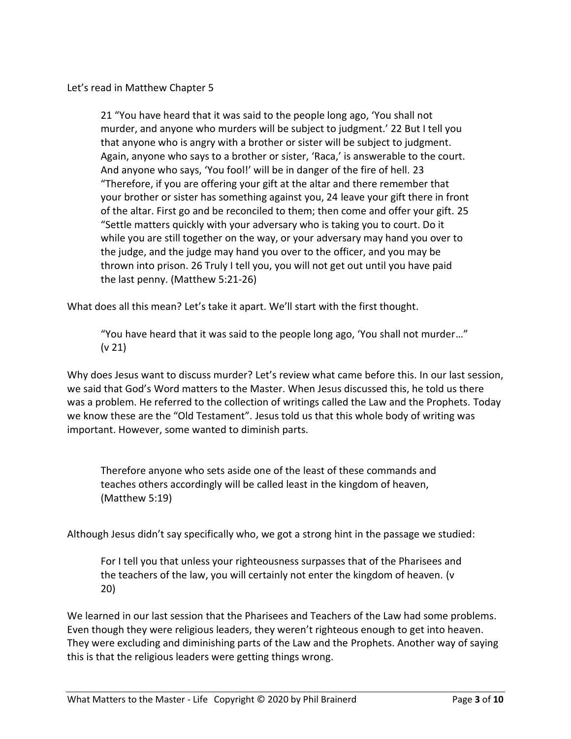Let's read in Matthew Chapter 5

21 "You have heard that it was said to the people long ago, 'You shall not murder, and anyone who murders will be subject to judgment.' 22 But I tell you that anyone who is angry with a brother or sister will be subject to judgment. Again, anyone who says to a brother or sister, 'Raca,' is answerable to the court. And anyone who says, 'You fool!' will be in danger of the fire of hell. 23 "Therefore, if you are offering your gift at the altar and there remember that your brother or sister has something against you, 24 leave your gift there in front of the altar. First go and be reconciled to them; then come and offer your gift. 25 "Settle matters quickly with your adversary who is taking you to court. Do it while you are still together on the way, or your adversary may hand you over to the judge, and the judge may hand you over to the officer, and you may be thrown into prison. 26 Truly I tell you, you will not get out until you have paid the last penny. (Matthew 5:21-26)

What does all this mean? Let's take it apart. We'll start with the first thought.

"You have heard that it was said to the people long ago, 'You shall not murder…" (v 21)

Why does Jesus want to discuss murder? Let's review what came before this. In our last session, we said that God's Word matters to the Master. When Jesus discussed this, he told us there was a problem. He referred to the collection of writings called the Law and the Prophets. Today we know these are the "Old Testament". Jesus told us that this whole body of writing was important. However, some wanted to diminish parts.

Therefore anyone who sets aside one of the least of these commands and teaches others accordingly will be called least in the kingdom of heaven, (Matthew 5:19)

Although Jesus didn't say specifically who, we got a strong hint in the passage we studied:

For I tell you that unless your righteousness surpasses that of the Pharisees and the teachers of the law, you will certainly not enter the kingdom of heaven. (v 20)

We learned in our last session that the Pharisees and Teachers of the Law had some problems. Even though they were religious leaders, they weren't righteous enough to get into heaven. They were excluding and diminishing parts of the Law and the Prophets. Another way of saying this is that the religious leaders were getting things wrong.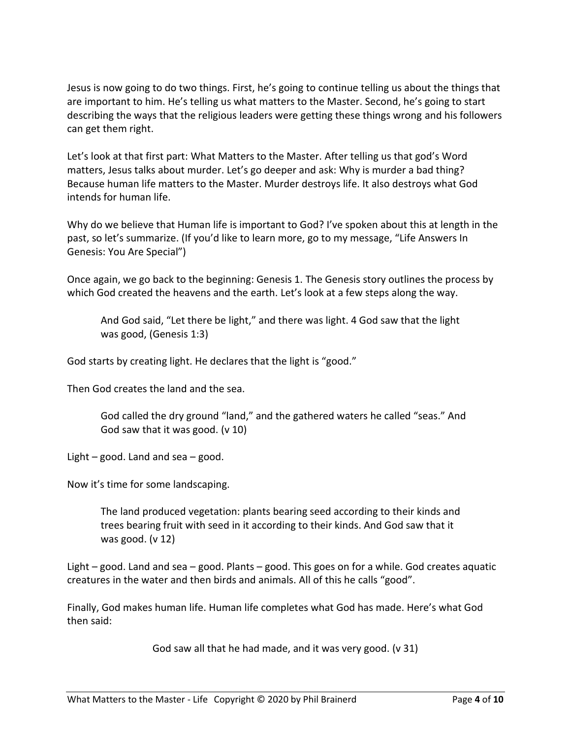Jesus is now going to do two things. First, he's going to continue telling us about the things that are important to him. He's telling us what matters to the Master. Second, he's going to start describing the ways that the religious leaders were getting these things wrong and his followers can get them right.

Let's look at that first part: What Matters to the Master. After telling us that god's Word matters, Jesus talks about murder. Let's go deeper and ask: Why is murder a bad thing? Because human life matters to the Master. Murder destroys life. It also destroys what God intends for human life.

Why do we believe that Human life is important to God? I've spoken about this at length in the past, so let's summarize. (If you'd like to learn more, go to my message, "Life Answers In Genesis: You Are Special")

Once again, we go back to the beginning: Genesis 1. The Genesis story outlines the process by which God created the heavens and the earth. Let's look at a few steps along the way.

And God said, "Let there be light," and there was light. 4 God saw that the light was good, (Genesis 1:3)

God starts by creating light. He declares that the light is "good."

Then God creates the land and the sea.

God called the dry ground "land," and the gathered waters he called "seas." And God saw that it was good. (v 10)

Light  $-$  good. Land and sea  $-$  good.

Now it's time for some landscaping.

The land produced vegetation: plants bearing seed according to their kinds and trees bearing fruit with seed in it according to their kinds. And God saw that it was good. (v 12)

Light – good. Land and sea – good. Plants – good. This goes on for a while. God creates aquatic creatures in the water and then birds and animals. All of this he calls "good".

Finally, God makes human life. Human life completes what God has made. Here's what God then said:

God saw all that he had made, and it was very good. (v 31)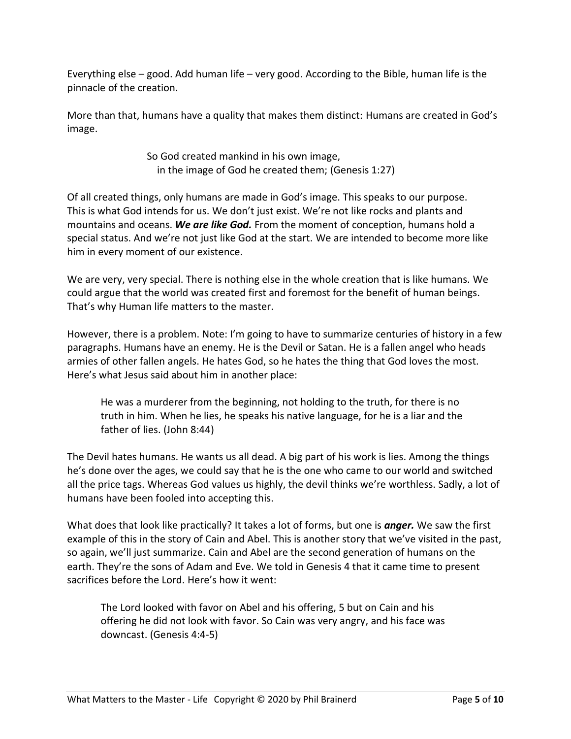Everything else – good. Add human life – very good. According to the Bible, human life is the pinnacle of the creation.

More than that, humans have a quality that makes them distinct: Humans are created in God's image.

> So God created mankind in his own image, in the image of God he created them; (Genesis 1:27)

Of all created things, only humans are made in God's image. This speaks to our purpose. This is what God intends for us. We don't just exist. We're not like rocks and plants and mountains and oceans. *We are like God.* From the moment of conception, humans hold a special status. And we're not just like God at the start. We are intended to become more like him in every moment of our existence.

We are very, very special. There is nothing else in the whole creation that is like humans. We could argue that the world was created first and foremost for the benefit of human beings. That's why Human life matters to the master.

However, there is a problem. Note: I'm going to have to summarize centuries of history in a few paragraphs. Humans have an enemy. He is the Devil or Satan. He is a fallen angel who heads armies of other fallen angels. He hates God, so he hates the thing that God loves the most. Here's what Jesus said about him in another place:

He was a murderer from the beginning, not holding to the truth, for there is no truth in him. When he lies, he speaks his native language, for he is a liar and the father of lies. (John 8:44)

The Devil hates humans. He wants us all dead. A big part of his work is lies. Among the things he's done over the ages, we could say that he is the one who came to our world and switched all the price tags. Whereas God values us highly, the devil thinks we're worthless. Sadly, a lot of humans have been fooled into accepting this.

What does that look like practically? It takes a lot of forms, but one is *anger.* We saw the first example of this in the story of Cain and Abel. This is another story that we've visited in the past, so again, we'll just summarize. Cain and Abel are the second generation of humans on the earth. They're the sons of Adam and Eve. We told in Genesis 4 that it came time to present sacrifices before the Lord. Here's how it went:

The Lord looked with favor on Abel and his offering, 5 but on Cain and his offering he did not look with favor. So Cain was very angry, and his face was downcast. (Genesis 4:4-5)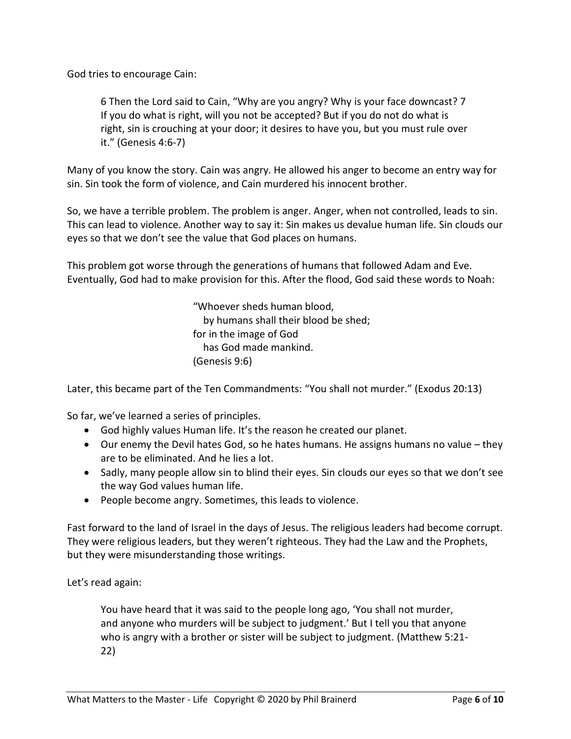God tries to encourage Cain:

6 Then the Lord said to Cain, "Why are you angry? Why is your face downcast? 7 If you do what is right, will you not be accepted? But if you do not do what is right, sin is crouching at your door; it desires to have you, but you must rule over it." (Genesis 4:6-7)

Many of you know the story. Cain was angry. He allowed his anger to become an entry way for sin. Sin took the form of violence, and Cain murdered his innocent brother.

So, we have a terrible problem. The problem is anger. Anger, when not controlled, leads to sin. This can lead to violence. Another way to say it: Sin makes us devalue human life. Sin clouds our eyes so that we don't see the value that God places on humans.

This problem got worse through the generations of humans that followed Adam and Eve. Eventually, God had to make provision for this. After the flood, God said these words to Noah:

> "Whoever sheds human blood, by humans shall their blood be shed; for in the image of God has God made mankind. (Genesis 9:6)

Later, this became part of the Ten Commandments: "You shall not murder." (Exodus 20:13)

So far, we've learned a series of principles.

- God highly values Human life. It's the reason he created our planet.
- Our enemy the Devil hates God, so he hates humans. He assigns humans no value they are to be eliminated. And he lies a lot.
- Sadly, many people allow sin to blind their eyes. Sin clouds our eyes so that we don't see the way God values human life.
- People become angry. Sometimes, this leads to violence.

Fast forward to the land of Israel in the days of Jesus. The religious leaders had become corrupt. They were religious leaders, but they weren't righteous. They had the Law and the Prophets, but they were misunderstanding those writings.

Let's read again:

You have heard that it was said to the people long ago, 'You shall not murder, and anyone who murders will be subject to judgment.' But I tell you that anyone who is angry with a brother or sister will be subject to judgment. (Matthew 5:21- 22)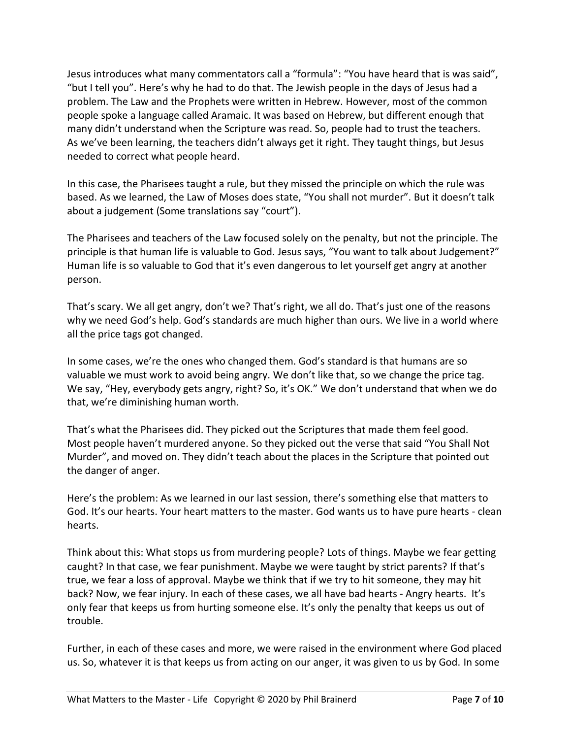Jesus introduces what many commentators call a "formula": "You have heard that is was said", "but I tell you". Here's why he had to do that. The Jewish people in the days of Jesus had a problem. The Law and the Prophets were written in Hebrew. However, most of the common people spoke a language called Aramaic. It was based on Hebrew, but different enough that many didn't understand when the Scripture was read. So, people had to trust the teachers. As we've been learning, the teachers didn't always get it right. They taught things, but Jesus needed to correct what people heard.

In this case, the Pharisees taught a rule, but they missed the principle on which the rule was based. As we learned, the Law of Moses does state, "You shall not murder". But it doesn't talk about a judgement (Some translations say "court").

The Pharisees and teachers of the Law focused solely on the penalty, but not the principle. The principle is that human life is valuable to God. Jesus says, "You want to talk about Judgement?" Human life is so valuable to God that it's even dangerous to let yourself get angry at another person.

That's scary. We all get angry, don't we? That's right, we all do. That's just one of the reasons why we need God's help. God's standards are much higher than ours. We live in a world where all the price tags got changed.

In some cases, we're the ones who changed them. God's standard is that humans are so valuable we must work to avoid being angry. We don't like that, so we change the price tag. We say, "Hey, everybody gets angry, right? So, it's OK." We don't understand that when we do that, we're diminishing human worth.

That's what the Pharisees did. They picked out the Scriptures that made them feel good. Most people haven't murdered anyone. So they picked out the verse that said "You Shall Not Murder", and moved on. They didn't teach about the places in the Scripture that pointed out the danger of anger.

Here's the problem: As we learned in our last session, there's something else that matters to God. It's our hearts. Your heart matters to the master. God wants us to have pure hearts - clean hearts.

Think about this: What stops us from murdering people? Lots of things. Maybe we fear getting caught? In that case, we fear punishment. Maybe we were taught by strict parents? If that's true, we fear a loss of approval. Maybe we think that if we try to hit someone, they may hit back? Now, we fear injury. In each of these cases, we all have bad hearts - Angry hearts. It's only fear that keeps us from hurting someone else. It's only the penalty that keeps us out of trouble.

Further, in each of these cases and more, we were raised in the environment where God placed us. So, whatever it is that keeps us from acting on our anger, it was given to us by God. In some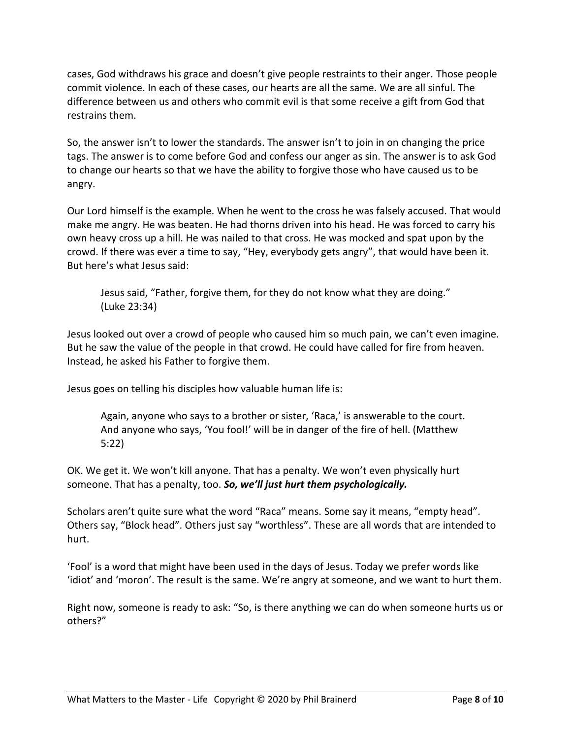cases, God withdraws his grace and doesn't give people restraints to their anger. Those people commit violence. In each of these cases, our hearts are all the same. We are all sinful. The difference between us and others who commit evil is that some receive a gift from God that restrains them.

So, the answer isn't to lower the standards. The answer isn't to join in on changing the price tags. The answer is to come before God and confess our anger as sin. The answer is to ask God to change our hearts so that we have the ability to forgive those who have caused us to be angry.

Our Lord himself is the example. When he went to the cross he was falsely accused. That would make me angry. He was beaten. He had thorns driven into his head. He was forced to carry his own heavy cross up a hill. He was nailed to that cross. He was mocked and spat upon by the crowd. If there was ever a time to say, "Hey, everybody gets angry", that would have been it. But here's what Jesus said:

Jesus said, "Father, forgive them, for they do not know what they are doing." (Luke 23:34)

Jesus looked out over a crowd of people who caused him so much pain, we can't even imagine. But he saw the value of the people in that crowd. He could have called for fire from heaven. Instead, he asked his Father to forgive them.

Jesus goes on telling his disciples how valuable human life is:

Again, anyone who says to a brother or sister, 'Raca,' is answerable to the court. And anyone who says, 'You fool!' will be in danger of the fire of hell. (Matthew 5:22)

OK. We get it. We won't kill anyone. That has a penalty. We won't even physically hurt someone. That has a penalty, too. *So, we'll just hurt them psychologically.*

Scholars aren't quite sure what the word "Raca" means. Some say it means, "empty head". Others say, "Block head". Others just say "worthless". These are all words that are intended to hurt.

'Fool' is a word that might have been used in the days of Jesus. Today we prefer words like 'idiot' and 'moron'. The result is the same. We're angry at someone, and we want to hurt them.

Right now, someone is ready to ask: "So, is there anything we can do when someone hurts us or others?"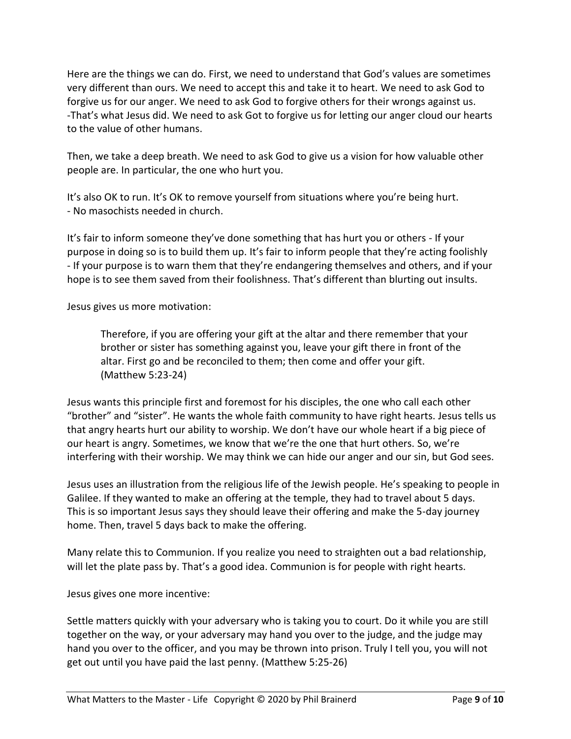Here are the things we can do. First, we need to understand that God's values are sometimes very different than ours. We need to accept this and take it to heart. We need to ask God to forgive us for our anger. We need to ask God to forgive others for their wrongs against us. -That's what Jesus did. We need to ask Got to forgive us for letting our anger cloud our hearts to the value of other humans.

Then, we take a deep breath. We need to ask God to give us a vision for how valuable other people are. In particular, the one who hurt you.

It's also OK to run. It's OK to remove yourself from situations where you're being hurt. - No masochists needed in church.

It's fair to inform someone they've done something that has hurt you or others - If your purpose in doing so is to build them up. It's fair to inform people that they're acting foolishly - If your purpose is to warn them that they're endangering themselves and others, and if your hope is to see them saved from their foolishness. That's different than blurting out insults.

Jesus gives us more motivation:

Therefore, if you are offering your gift at the altar and there remember that your brother or sister has something against you, leave your gift there in front of the altar. First go and be reconciled to them; then come and offer your gift. (Matthew 5:23-24)

Jesus wants this principle first and foremost for his disciples, the one who call each other "brother" and "sister". He wants the whole faith community to have right hearts. Jesus tells us that angry hearts hurt our ability to worship. We don't have our whole heart if a big piece of our heart is angry. Sometimes, we know that we're the one that hurt others. So, we're interfering with their worship. We may think we can hide our anger and our sin, but God sees.

Jesus uses an illustration from the religious life of the Jewish people. He's speaking to people in Galilee. If they wanted to make an offering at the temple, they had to travel about 5 days. This is so important Jesus says they should leave their offering and make the 5-day journey home. Then, travel 5 days back to make the offering.

Many relate this to Communion. If you realize you need to straighten out a bad relationship, will let the plate pass by. That's a good idea. Communion is for people with right hearts.

Jesus gives one more incentive:

Settle matters quickly with your adversary who is taking you to court. Do it while you are still together on the way, or your adversary may hand you over to the judge, and the judge may hand you over to the officer, and you may be thrown into prison. Truly I tell you, you will not get out until you have paid the last penny. (Matthew 5:25-26)